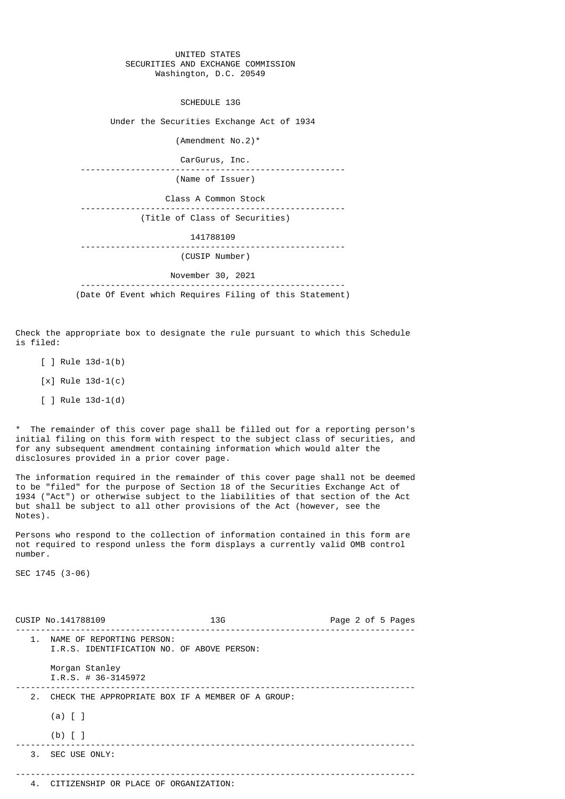## UNITED STATES SECURITIES AND EXCHANGE COMMISSION Washington, D.C. 20549

SCHEDULE 13G

Under the Securities Exchange Act of 1934

 (Amendment No.2)\* CarGurus, Inc. ----------------------------------------------------- (Name of Issuer) Class A Common Stock ----------------------------------------------------- (Title of Class of Securities) 141788109 ----------------------------------------------------- (CUSIP Number) November 30, 2021 -----------------------------------------------------

(Date Of Event which Requires Filing of this Statement)

Check the appropriate box to designate the rule pursuant to which this Schedule is filed:

- $[ ]$  Rule 13d-1(b)
- [x] Rule 13d-1(c)
- [ ] Rule 13d-1(d)

\* The remainder of this cover page shall be filled out for a reporting person's initial filing on this form with respect to the subject class of securities, and for any subsequent amendment containing information which would alter the disclosures provided in a prior cover page.

The information required in the remainder of this cover page shall not be deemed to be "filed" for the purpose of Section 18 of the Securities Exchange Act of 1934 ("Act") or otherwise subject to the liabilities of that section of the Act but shall be subject to all other provisions of the Act (however, see the Notes).

Persons who respond to the collection of information contained in this form are not required to respond unless the form displays a currently valid OMB control number.

SEC 1745 (3-06)

|               | CUSIP No.141788109                                                      | 13G | Page 2 of 5 Pages |
|---------------|-------------------------------------------------------------------------|-----|-------------------|
| $\mathbf 1$ . | NAME OF REPORTING PERSON:<br>I.R.S. IDENTIFICATION NO. OF ABOVE PERSON: |     |                   |
|               | Morgan Stanley<br>$I.R.S. # 36-3145972$                                 |     |                   |
| 2.            | CHECK THE APPROPRIATE BOX IF A MEMBER OF A GROUP:                       |     |                   |
|               | $(a)$ [ ]                                                               |     |                   |
|               | $(b)$ [ ]                                                               |     |                   |
|               | 3. SEC USE ONLY:                                                        |     |                   |
|               |                                                                         |     |                   |
|               | 4. CITIZENSHIP OR PLACE OF ORGANIZATION:                                |     |                   |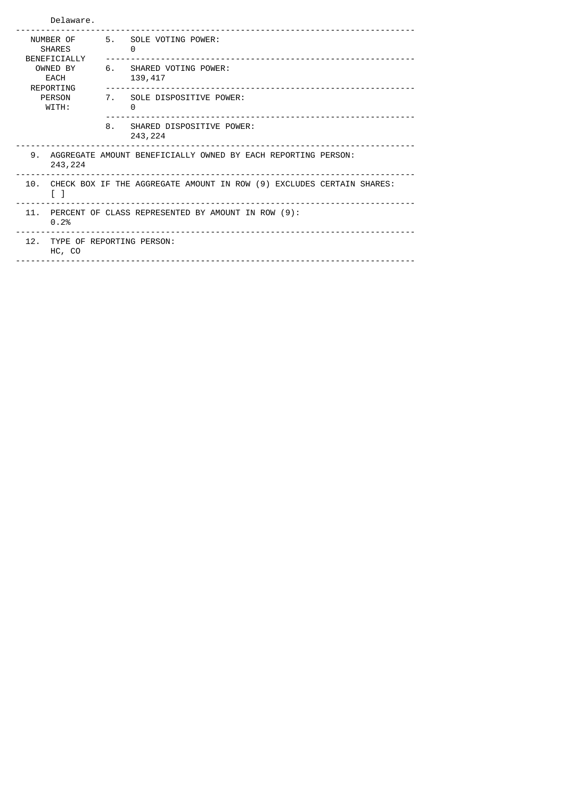|                                                                                            | Delaware.                                          |                                       |  |  |
|--------------------------------------------------------------------------------------------|----------------------------------------------------|---------------------------------------|--|--|
| NUMBER OF<br><b>SHARES</b><br>BENEFICIALLY                                                 | 5.                                                 | SOLE VOTING POWER:<br>0               |  |  |
| OWNED BY<br>EACH<br>REPORTING                                                              | 6.                                                 | SHARED VOTING POWER:<br>139,417       |  |  |
| <b>PERSON</b><br>WITH:                                                                     |                                                    | 7. SOLE DISPOSITIVE POWER:<br>0       |  |  |
|                                                                                            | 8.                                                 | SHARED DISPOSITIVE POWER:<br>243, 224 |  |  |
| 9.<br>AGGREGATE AMOUNT BENEFICIALLY OWNED BY EACH REPORTING PERSON:<br>243, 224            |                                                    |                                       |  |  |
| CHECK BOX IF THE AGGREGATE AMOUNT IN ROW (9) EXCLUDES CERTAIN SHARES:<br>10.<br>$\lceil$ 1 |                                                    |                                       |  |  |
| 11.<br>0.2%                                                                                | PERCENT OF CLASS REPRESENTED BY AMOUNT IN ROW (9): |                                       |  |  |
| HC, CO                                                                                     | 12. TYPE OF REPORTING PERSON:                      |                                       |  |  |
|                                                                                            |                                                    |                                       |  |  |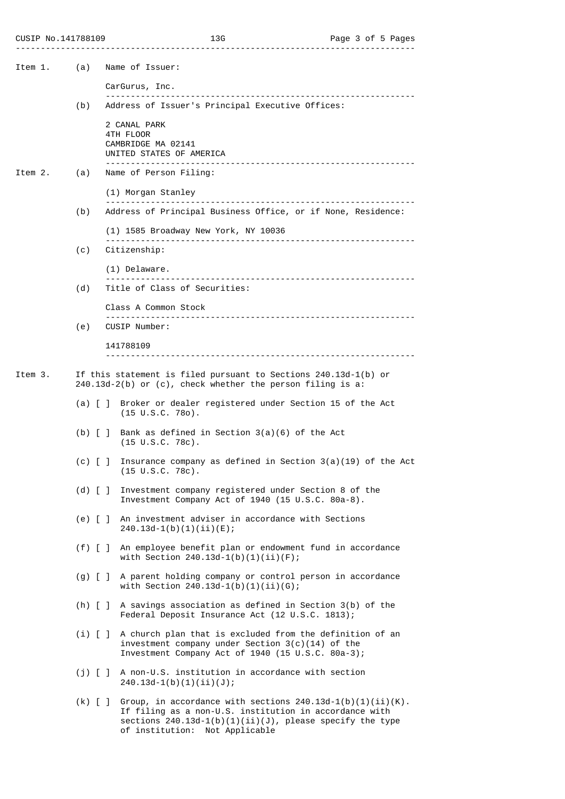| CUSIP No.141788109 |  |  |
|--------------------|--|--|
|--------------------|--|--|

| Item 1.                                               | (a)                     | Name of Issuer:                                                                                                                                                                                                          |
|-------------------------------------------------------|-------------------------|--------------------------------------------------------------------------------------------------------------------------------------------------------------------------------------------------------------------------|
|                                                       |                         | CarGurus, Inc.                                                                                                                                                                                                           |
|                                                       | (b)                     | Address of Issuer's Principal Executive Offices:                                                                                                                                                                         |
|                                                       |                         | 2 CANAL PARK<br>4TH FLOOR<br>CAMBRIDGE MA 02141<br>UNITED STATES OF AMERICA                                                                                                                                              |
| Item 2.                                               | (a)                     | Name of Person Filing:                                                                                                                                                                                                   |
|                                                       |                         | (1) Morgan Stanley                                                                                                                                                                                                       |
|                                                       | (b)                     | Address of Principal Business Office, or if None, Residence:                                                                                                                                                             |
|                                                       |                         | (1) 1585 Broadway New York, NY 10036                                                                                                                                                                                     |
|                                                       | (c)                     | Citizenship:                                                                                                                                                                                                             |
| (1) Delaware.<br>Title of Class of Securities:<br>(d) |                         |                                                                                                                                                                                                                          |
|                                                       |                         |                                                                                                                                                                                                                          |
|                                                       |                         | Class A Common Stock                                                                                                                                                                                                     |
|                                                       | (e)                     | CUSIP Number:                                                                                                                                                                                                            |
|                                                       |                         | 141788109                                                                                                                                                                                                                |
|                                                       |                         |                                                                                                                                                                                                                          |
| Item 3.                                               |                         | If this statement is filed pursuant to Sections 240.13d-1(b) or<br>$240.13d-2(b)$ or (c), check whether the person filing is a:                                                                                          |
|                                                       | $(a)$ $\lceil$ $\rceil$ | Broker or dealer registered under Section 15 of the Act<br>$(15 \cup S.C. 780)$ .                                                                                                                                        |
|                                                       | $(b)$ $\lceil$ $\rceil$ | Bank as defined in Section 3(a)(6) of the Act<br>$(15 \cup S.C. 78c)$ .                                                                                                                                                  |
|                                                       | $(c)$ [ ]               | Insurance company as defined in Section $3(a)(19)$ of the Act<br>(15 U.S.C. 78c).                                                                                                                                        |
|                                                       | $(d)$ $[$ $]$           | Investment company registered under Section 8 of the<br>Investment Company Act of 1940 (15 U.S.C. 80a-8).                                                                                                                |
|                                                       |                         | (e) [ ] An investment adviser in accordance with Sections<br>$240.13d-1(b)(1)(ii)(E);$                                                                                                                                   |
|                                                       |                         | (f) [ ] An employee benefit plan or endowment fund in accordance<br>with Section $240.13d-1(b)(1)(ii)(F)$ ;                                                                                                              |
|                                                       |                         | (g) [ ] A parent holding company or control person in accordance<br>with Section $240.13d-1(b)(1)(ii)(G);$                                                                                                               |
|                                                       | $(h)$ $[$ $]$           | A savings association as defined in Section 3(b) of the<br>Federal Deposit Insurance Act (12 U.S.C. 1813);                                                                                                               |
|                                                       |                         | (i) [ ] A church plan that is excluded from the definition of an<br>investment company under Section $3(c)(14)$ of the<br>Investment Company Act of 1940 (15 U.S.C. 80a-3);                                              |
|                                                       | $(j)$ [ ]               | A non-U.S. institution in accordance with section<br>$240.13d-1(b)(1)(ii)(J);$                                                                                                                                           |
|                                                       | $(k)$ [ ]               | Group, in accordance with sections $240.13d-1(b)(1)(ii)(K)$ .<br>If filing as a non-U.S. institution in accordance with<br>sections $240.13d-1(b)(1)(ii)(J)$ , please specify the type<br>of institution: Not Applicable |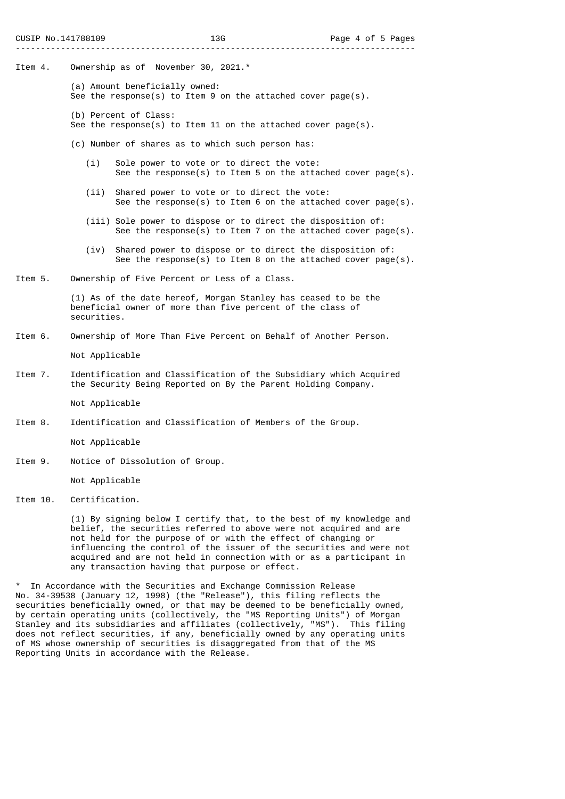- Item 4. Ownership as of November 30, 2021.\*
	- (a) Amount beneficially owned: See the response(s) to Item 9 on the attached cover page(s).
	- (b) Percent of Class: See the response(s) to Item 11 on the attached cover page(s).
	- (c) Number of shares as to which such person has:
		- (i) Sole power to vote or to direct the vote: See the response(s) to Item 5 on the attached cover page(s).
		- (ii) Shared power to vote or to direct the vote: See the response(s) to Item 6 on the attached cover page(s).
		- (iii) Sole power to dispose or to direct the disposition of: See the response(s) to Item 7 on the attached cover page(s).
		- (iv) Shared power to dispose or to direct the disposition of: See the response(s) to Item 8 on the attached cover page(s).
- Item 5. Ownership of Five Percent or Less of a Class.

 (1) As of the date hereof, Morgan Stanley has ceased to be the beneficial owner of more than five percent of the class of securities.

Item 6. Ownership of More Than Five Percent on Behalf of Another Person.

Not Applicable

Item 7. Identification and Classification of the Subsidiary which Acquired the Security Being Reported on By the Parent Holding Company.

Not Applicable

Item 8. Identification and Classification of Members of the Group.

Not Applicable

Item 9. Notice of Dissolution of Group.

Not Applicable

Item 10. Certification.

 (1) By signing below I certify that, to the best of my knowledge and belief, the securities referred to above were not acquired and are not held for the purpose of or with the effect of changing or influencing the control of the issuer of the securities and were not acquired and are not held in connection with or as a participant in any transaction having that purpose or effect.

In Accordance with the Securities and Exchange Commission Release No. 34-39538 (January 12, 1998) (the "Release"), this filing reflects the securities beneficially owned, or that may be deemed to be beneficially owned, by certain operating units (collectively, the "MS Reporting Units") of Morgan Stanley and its subsidiaries and affiliates (collectively, "MS"). This filing does not reflect securities, if any, beneficially owned by any operating units of MS whose ownership of securities is disaggregated from that of the MS Reporting Units in accordance with the Release.